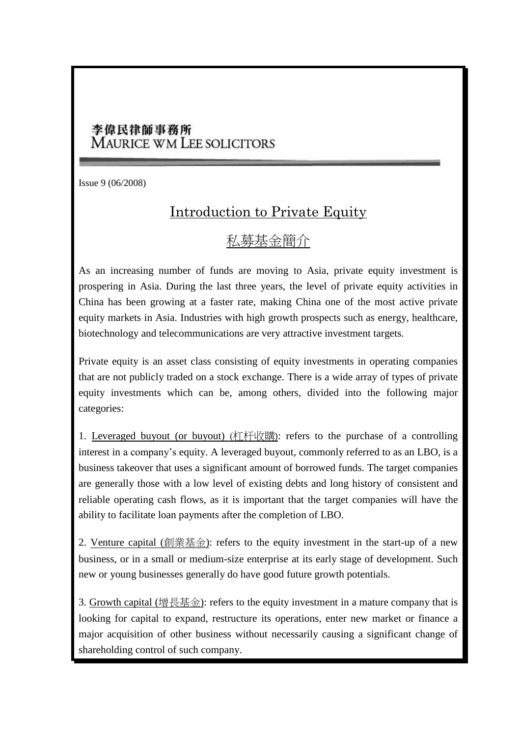## 李偉民律師事務所 MAURICE WM LEE SOLICITORS

Issue 9 (06/2008)

## Introduction to Private Equity

## 私募基金簡介

As an increasing number of funds are moving to Asia, private equity investment is prospering in Asia. During the last three years, the level of private equity activities in China has been growing at a faster rate, making China one of the most active private equity markets in Asia. Industries with high growth prospects such as energy, healthcare, biotechnology and telecommunications are very attractive investment targets.

Private equity is an [asset class](http://en.wikipedia.org/wiki/Asset_class) consisting of [equity](http://en.wikipedia.org/wiki/Equity) investments in operating companies that are not [publicly traded](http://en.wikipedia.org/wiki/Publicly_traded) on a [stock exchange.](http://en.wikipedia.org/wiki/Stock_exchange) There is a wide array of types of private equity investments which can be, among others, divided into the following major categories:

1. Leveraged buyout (or buyout) (杠杆收購): refers to the purchase of a controlling interest in a company's equity. A leveraged buyout, commonly referred to as an LBO, is a business takeover that uses a significant amount of borrowed funds. The target companies are generally those with a low level of existing debts and long history of consistent and reliable operating cash flows, as it is important that the target companies will have the ability to facilitate loan payments after the completion of LBO.

2. Venture capital (創業基金): refers to the equity investment in the start-up of a new business, or in a small or medium-size enterprise at its early stage of development. Such new or young businesses generally do have good future growth potentials.

3. [Growth capital](http://en.wikipedia.org/wiki/Growth_capital) (增長基金): refers to the equity investment in a mature company that is looking for capital to expand, restructure its operations, enter new market or finance a major acquisition of other business without necessarily causing a significant change of shareholding control of such company.